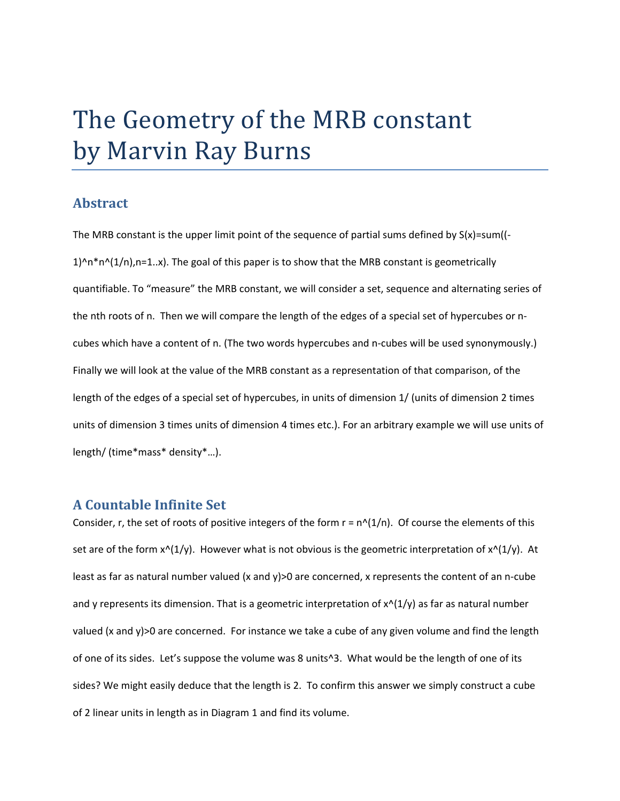# The Geometry of the MRB constant by Marvin Ray Burns

## **Abstract**

The MRB constant is the upper limit point of the sequence of partial sums defined by  $S(x)$ =sum( $\left( -\right)$  $1)^{n+m}(1/n)$ , n=1.x). The goal of this paper is to show that the MRB constant is geometrically quantifiable. To "measure" the MRB constant, we will consider a set, sequence and alternating series of the nth roots of n. Then we will compare the length of the edges of a special set of hypercubes or ncubes which have a content of n. (The two words hypercubes and n-cubes will be used synonymously.) Finally we will look at the value of the MRB constant as a representation of that comparison, of the length of the edges of a special set of hypercubes, in units of dimension 1/ (units of dimension 2 times units of dimension 3 times units of dimension 4 times etc.). For an arbitrary example we will use units of length/ (time\*mass\* density\*…).

#### **A Countable Infinite Set**

Consider, r, the set of roots of positive integers of the form  $r = n^{\alpha}(1/n)$ . Of course the elements of this set are of the form  $x^{\wedge}(1/y)$ . However what is not obvious is the geometric interpretation of  $x^{\wedge}(1/y)$ . At least as far as natural number valued (x and y)>0 are concerned, x represents the content of an n-cube and y represents its dimension. That is a geometric interpretation of  $x^{\wedge}(1/y)$  as far as natural number valued (x and y)>0 are concerned. For instance we take a cube of any given volume and find the length of one of its sides. Let's suppose the volume was 8 units^3. What would be the length of one of its sides? We might easily deduce that the length is 2. To confirm this answer we simply construct a cube of 2 linear units in length as in Diagram 1 and find its volume.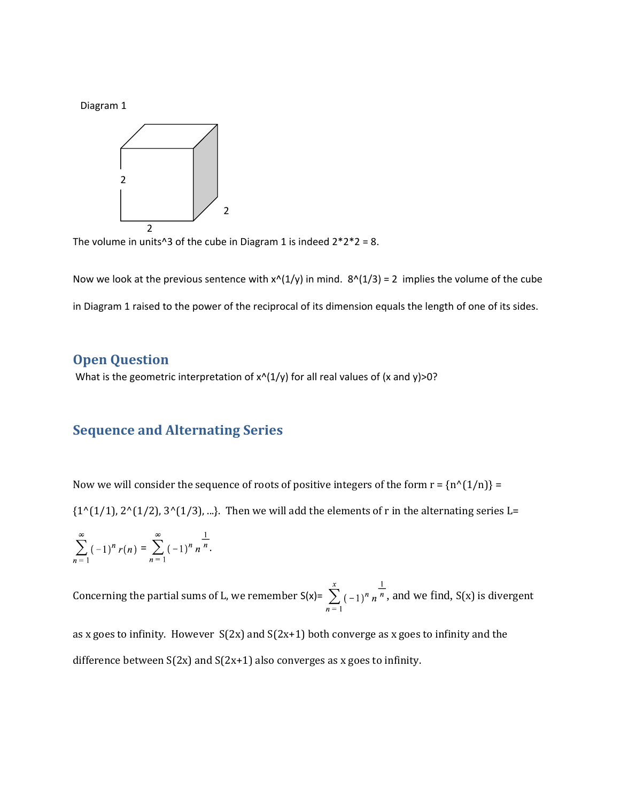Diagram 1



The volume in units<sup> $\triangle$ 3 of the cube in Diagram 1 is indeed  $2*2*2 = 8$ .</sup>

Now we look at the previous sentence with  $x^{(1)}(1/y)$  in mind.  $8^{(1)}(1/3) = 2$  implies the volume of the cube in Diagram 1 raised to the power of the reciprocal of its dimension equals the length of one of its sides.

# **Open Question**

What is the geometric interpretation of  $x^{(1)}(y)$  for all real values of (x and y)>0?

# **Sequence and Alternating Series**

Now we will consider the sequence of roots of positive integers of the form  $r = {n^{(1/n)}} =$ 

 $\{1^{(1/1/1)}, 2^{(1/2)}, 3^{(1/3)}, ...\}$ . Then we will add the elements of r in the alternating series L=

$$
\sum_{n=1}^{\infty} (-1)^n r(n) = \sum_{n=1}^{\infty} (-1)^n n^{-\frac{1}{n}}.
$$

Concerning the partial sums of L, we remember  $S(x)=\sum_{n=1}^{x}(-1)^n n^{\frac{1}{n}}$ , and we find,  $S(x)$  is divergent

as x goes to infinity. However  $S(2x)$  and  $S(2x+1)$  both converge as x goes to infinity and the difference between  $S(2x)$  and  $S(2x+1)$  also converges as x goes to infinity.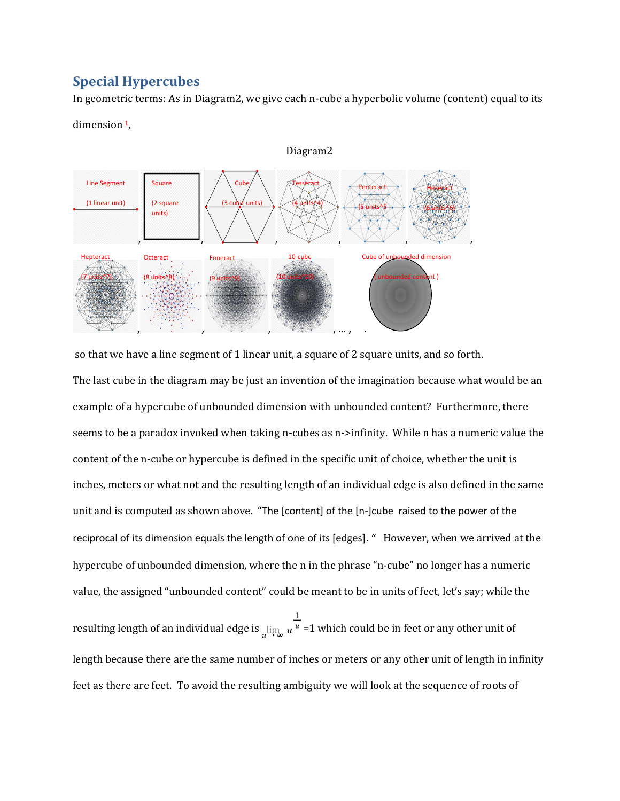# **Special Hypercubes**

In geometric terms: As in Diagram2, we give each n-cube a hyperbolic volume (content) equal to its



dimension<sup>1</sup>,

so that we have a line segment of 1 linear unit, a square of 2 square units, and so forth.

The last cube in the diagram may be just an invention of the imagination because what would be an example of a hypercube of unbounded dimension with unbounded content? Furthermore, there seems to be a paradox invoked when taking n-cubes as n->infinity. While n has a numeric value the content of the n-cube or hypercube is defined in the specific unit of choice, whether the unit is inches, meters or what not and the resulting length of an individual edge is also defined in the same unit and is computed as shown above. "The [content] of the [n-]cube raised to the power of the reciprocal of its dimension equals the length of one of its [edges]. " However, when we arrived at the hypercube of unbounded dimension, where the n in the phrase "n-cube" no longer has a numeric value, the assigned "unbounded content" could be meant to be in units of feet, let's say; while the

resulting length of an individual edge is  $\lim_{u\to\infty} u^{\frac{1}{u}} = 1$  which could be in feet or any other unit of length because there are the same number of inches or meters or any other unit of length in infinity feet as there are feet. To avoid the resulting ambiguity we will look at the sequence of roots of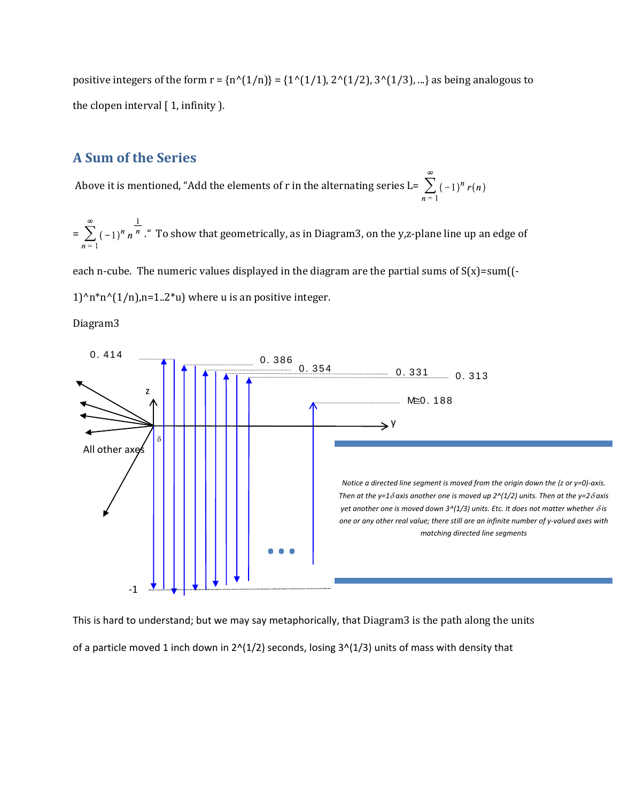positive integers of the form  $r = {n^(1/n)} = {1^(1/1)}$ ,  $2^(1/2)$ ,  $3^(1/3)$ , ...} as being analogous to the clopen interval  $[1,$  infinity  $].$ 

# **A Sum of the Series**

Above it is mentioned, "Add the elements of r in the alternating series L=  $\sum_{1}^{\infty}$  (-1)<sup>n</sup> r(n)

=  $\sum_{n=0}^{\infty}$  (-1)<sup>n</sup> n<sup>n</sup> . To show that geometrically, as in Diagram3, on the y,z-plane line up an edge of

each n-cube. The numeric values displayed in the diagram are the partial sums of  $S(x)$ =sum((-

1)^n\*n^(1/n),n=1..2\*u) where u is an positive integer.

Diagram3



This is hard to understand; but we may say metaphorically, that Diagram3 is the path along the units of a particle moved 1 inch down in  $2^{N}(1/2)$  seconds, losing  $3^{N}(1/3)$  units of mass with density that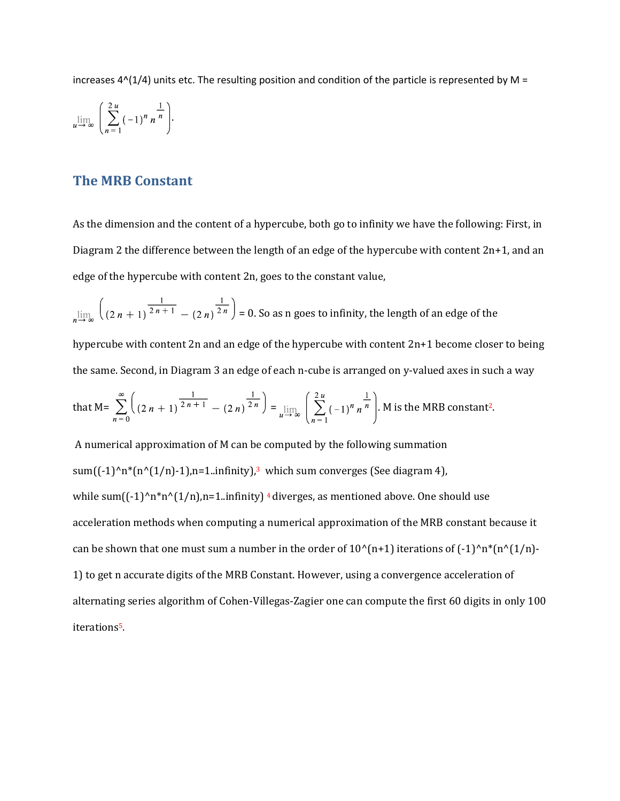increases  $4^{(1/4)}$  units etc. The resulting position and condition of the particle is represented by M =

$$
\lim_{u \to \infty} \left( \sum_{n=1}^{2u} (-1)^n n^{\frac{1}{n}} \right).
$$

## **The MRB Constant**

As the dimension and the content of a hypercube, both go to infinity we have the following: First, in Diagram 2 the difference between the length of an edge of the hypercube with content 2n+1, and an edge of the hypercube with content 2n, goes to the constant value,

 $\lim_{n \to \infty} \left( \frac{1}{(2n+1)^{\frac{1}{2n+1}} - (2n)^{\frac{1}{2n}}} \right) = 0.$  So as n goes to infinity, the length of an edge of the

hypercube with content 2n and an edge of the hypercube with content 2n+1 become closer to being the same. Second, in Diagram 3 an edge of each n-cube is arranged on y-valued axes in such a way

that M = 
$$
\sum_{n=0}^{\infty} \left( (2n+1)^{\frac{1}{2n+1}} - (2n)^{\frac{1}{2n}} \right) = \lim_{u \to \infty} \left( \sum_{n=1}^{2u} (-1)^n n^{\frac{1}{n}} \right)
$$
. M is the MRB constant<sup>2</sup>.

A numerical approximation of M can be computed by the following summation sum( $(-1)^n n^*(n^(1/n)-1)$ ,n=1..infinity),<sup>3</sup> which sum converges (See diagram 4), while sum $((-1)^n n^*n(1/n),n=1$ ..infinity) <sup>4</sup> diverges, as mentioned above. One should use acceleration methods when computing a numerical approximation of the MRB constant because it can be shown that one must sum a number in the order of  $10^{(n+1)}$  iterations of  $(-1)^{n*}(n^{(1/n)}-1)$ 1) to get n accurate digits of the MRB Constant. However, using a convergence acceleration of alternating series algorithm of Cohen-Villegas-Zagier one can compute the first 60 digits in only 100 iterations5.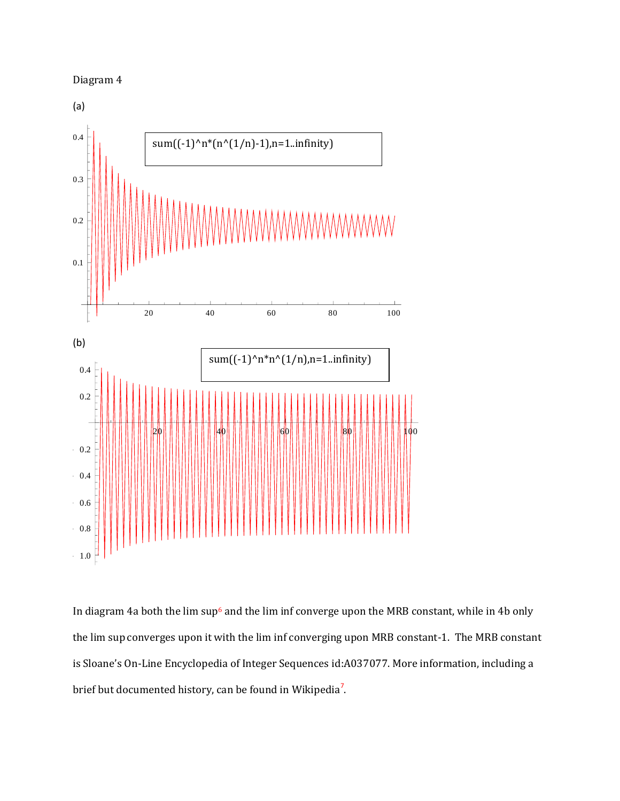

In diagram 4a both the lim sup<sup>6</sup> and the lim inf converge upon the MRB constant, while in 4b only the lim sup converges upon it with the lim inf converging upon MRB constant-1. The MRB constant is Sloane's On-Line Encyclopedia of Integer Sequences id:A037077. More information, including a brief but documented history, can be found in Wikipedia<sup>7</sup>.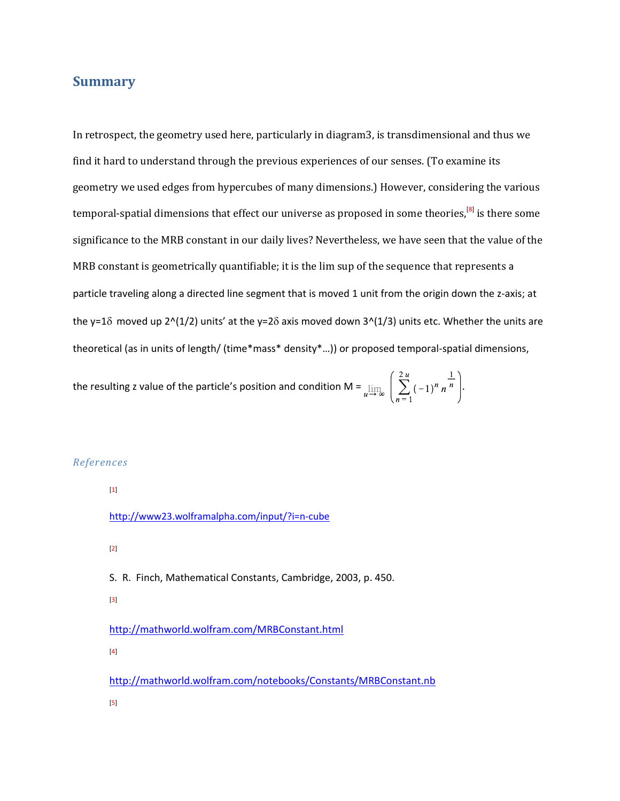# **Summary**

In retrospect, the geometry used here, particularly in diagram3, is transdimensional and thus we find it hard to understand through the previous experiences of our senses. (To examine its geometry we used edges from hypercubes of many dimensions.) However, considering the various temporal-spatial dimensions that effect our universe as proposed in some theories,<sup>[8]</sup> is there some significance to the MRB constant in our daily lives? Nevertheless, we have seen that the value of the MRB constant is geometrically quantifiable; it is the lim sup of the sequence that represents a particle traveling along a directed line segment that is moved 1 unit from the origin down the z-axis; at the y=1 $\delta$  moved up 2^(1/2) units' at the y=2 $\delta$  axis moved down 3^(1/3) units etc. Whether the units are theoretical (as in units of length/ (time\*mass\* density\*…)) or proposed temporal-spatial dimensions,

the resulting z value of the particle's position and condition M =  $\lim_{u \to \infty} \left( \sum_{n=1}^{2u} (-1)^n n^{\frac{1}{n}} \right)$ .

#### *References*

[1]

<http://www23.wolframalpha.com/input/?i=n-cube>

[2]

S. R. Finch, Mathematical Constants, Cambridge, 2003, p. 450. [3] <http://mathworld.wolfram.com/MRBConstant.html> [4]

<http://mathworld.wolfram.com/notebooks/Constants/MRBConstant.nb>

[5]